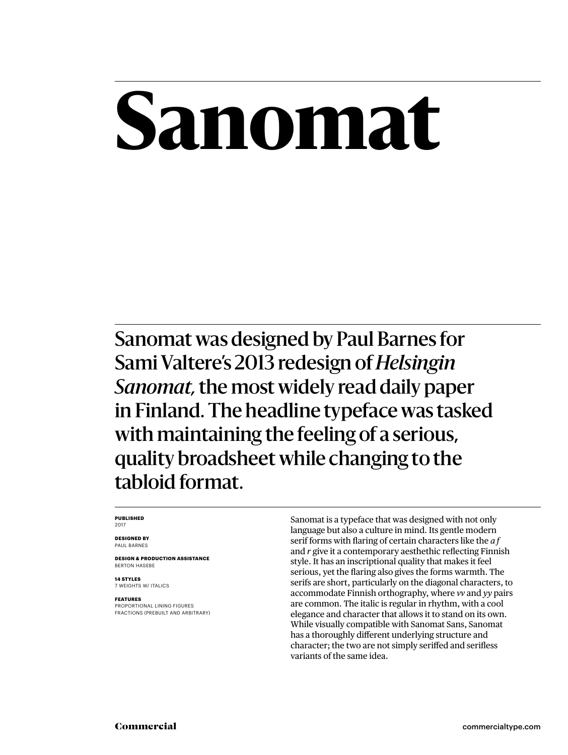# **Sanomat**

Sanomat was designed by Paul Barnes for Sami Valtere's 2013 redesign of *Helsingin Sanomat,* the most widely read daily paper in Finland. The headline typeface was tasked with maintaining the feeling of a serious, quality broadsheet while changing to the tabloid format.

#### **PUBLISHED** 2017

**DESIGNED BY** PAUL BARNES

**DESIGN & PRODUCTION ASSISTANCE** BERTON HASEBE

**14 STYLES** 7 WEIGHTS W/ ITALICS

#### **FEATURES**

PROPORTIONAL LINING FIGURES FRACTIONS (PREBUILT AND ARBITRARY) Sanomat is a typeface that was designed with not only language but also a culture in mind. Its gentle modern serif forms with flaring of certain characters like the *a f* and *r* give it a contemporary aesthethic reflecting Finnish style. It has an inscriptional quality that makes it feel serious, yet the flaring also gives the forms warmth. The serifs are short, particularly on the diagonal characters, to accommodate Finnish orthography, where *vv* and *yy* pairs are common. The italic is regular in rhythm, with a cool elegance and character that allows it to stand on its own. While visually compatible with Sanomat Sans, Sanomat has a thoroughly different underlying structure and character; the two are not simply seriffed and serifless variants of the same idea.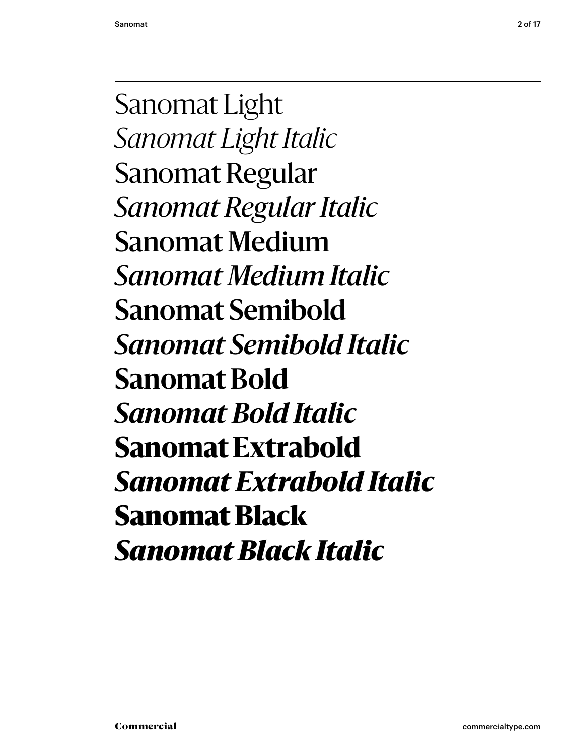Sanomat Light *Sanomat Light Italic* Sanomat Regular *Sanomat Regular Italic* Sanomat Medium *Sanomat Medium Italic* **Sanomat Semibold** *Sanomat Semibold Italic* **Sanomat Bold** *Sanomat Bold Italic* **Sanomat Extrabold** *Sanomat Extrabold Italic* Sanomat Black *Sanomat Black Italic*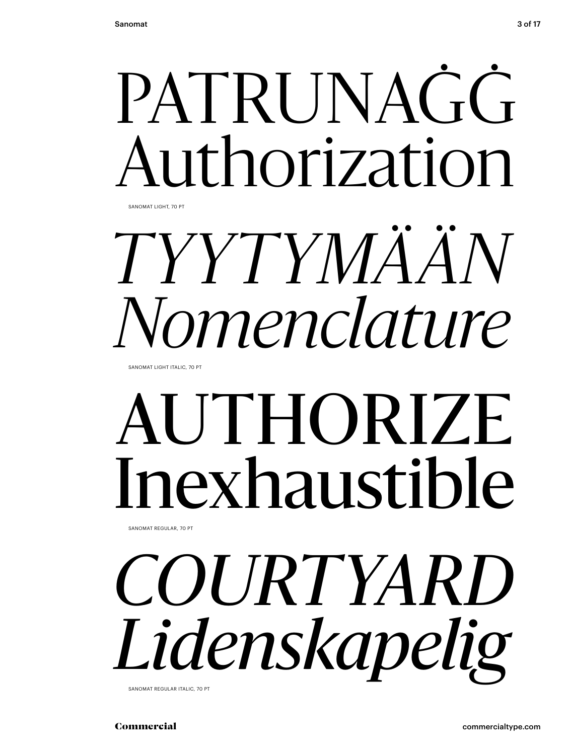

*TYYTYMÄÄN Nomenclature*

SANOMAT LIGHT ITALIC, 70 PT

## AUTHORIZE Inexhaustible

SANOMAT REGULAR, 70 PT

# *COURTYARD Lidenskapelig*

SANOMAT REGULAR ITALIC, 70 PT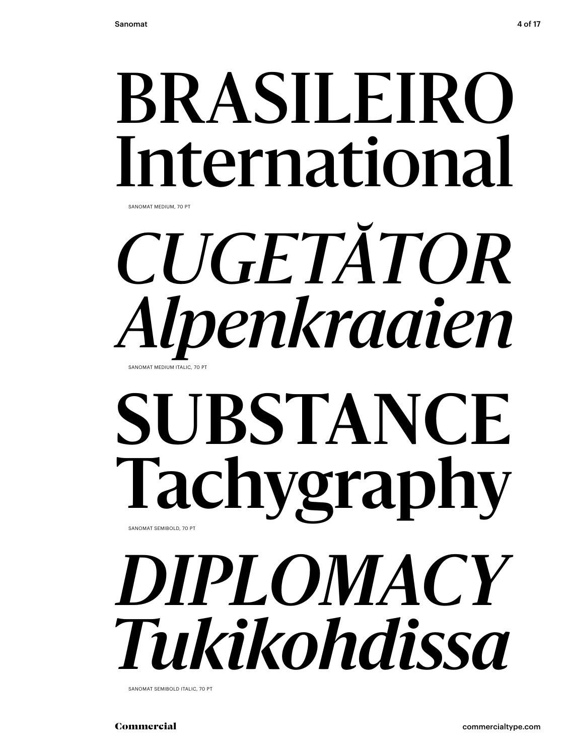## BRASILEIRO International

SANOMAT MEDIUM, 70 PT

### *CUGETĂTOR Alpenkraaien* SANOMAT MEDIUM ITALIC, 70 PT

### **SUBSTANCE Tachygraphy** SANOMAT SEMIBOLD, 70 PT

## *DIPLOMACY Tukikohdissa*

SANOMAT SEMIBOLD ITALIC, 70 PT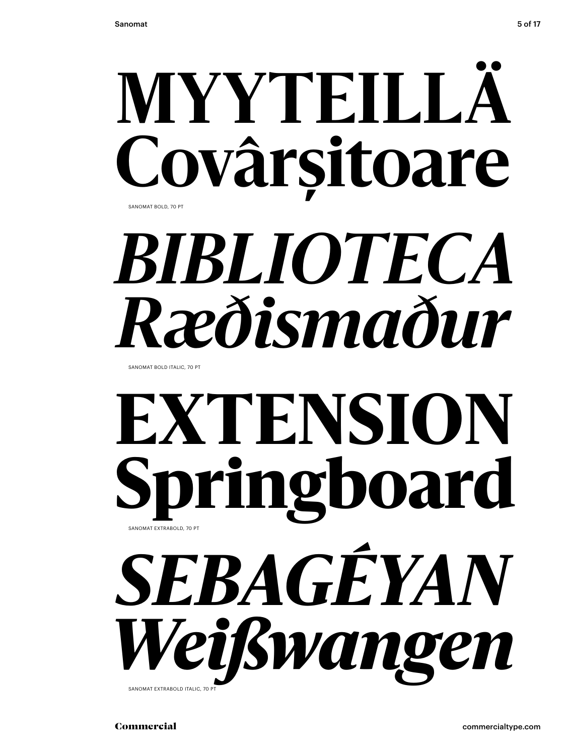

# **BIBLIOTECA** Ræðismaður

SANOMAT BOLD ITALIC, 70 PT

### EXTENSION ringboard SANOMAT EXTRABOLD, 70 PT SEBAGÉYAN Veißwangen

SANOMAT EXTRABOLD ITALIC, 70 P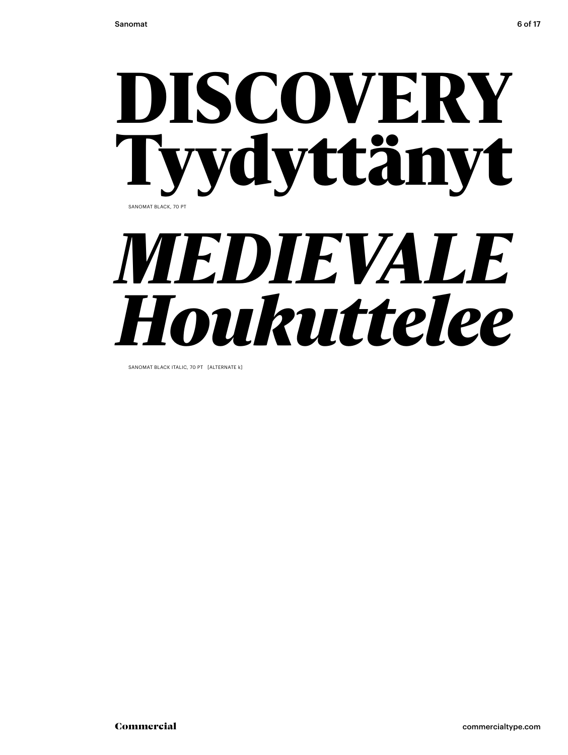### DISCOVERY Tyydyttänyt *MEDIEVALE* SANOMAT BLACK, 70 PT

# *Houkuttelee*

SANOMAT BLACK ITALIC, 70 PT [ALTERNATE k]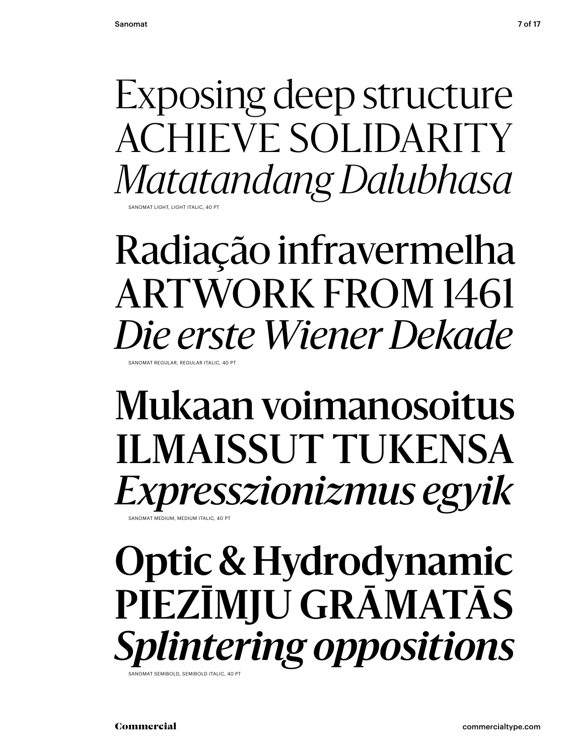Exposing deep structure ACHIEVE SOLIDARITY *Matatandang Dalubhasa*

SANOMAT LIGHT, LIGHT ITALIC, 40 PT

### Radiação infravermelha ARTWORK FROM 1461 *Die erste Wiener Dekade*  SANOMAT REGULAR, REGULAR ITALIC, 40 PT

### Mukaan voimanosoitus ILMAISSUT TUKENSA *Expresszionizmus egyik*

NOMAT MEDIUM, MEDIUM ITALIC, 40 PT

### **Optic & Hydrodynamic PIEZĪMJU GRĀMATĀS** *Splintering oppositions* SANOMAT SEMIBOLD, SEMIBOLD ITALIC, 40 PT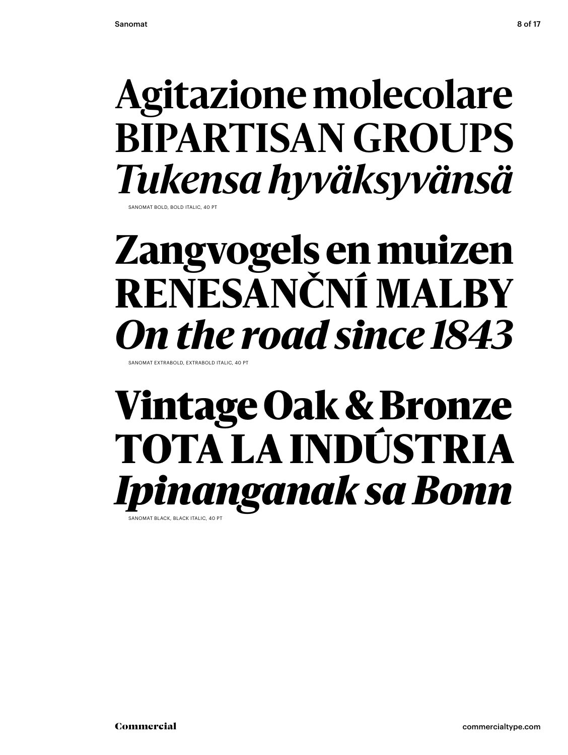### **Agitazione molecolare BIPARTISAN GROUPS** *Tukensa hyväksyvänsä* SANOMAT BOLD, BOLD ITALIC, 40 PT

### **Zangvogels en muizen RENESANČNÍ MALBY** *On the road since 1843*

SANOMAT EXTRABOLD, EXTRABOLD ITALIC, 40 PT

### Vintage Oak & Bronze TOTA LA INDÚSTRIA *Ipinanganak sa Bonn* **SANOMAT BLACK, BLACK ITALIC, 40 PT**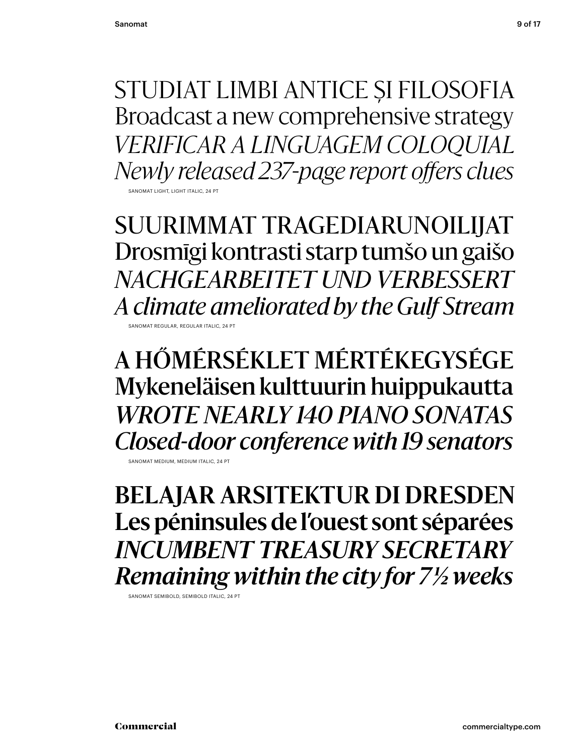STUDIAT LIMBI ANTICE ȘI FILOSOFIA Broadcast a new comprehensive strategy *VERIFICAR A LINGUAGEM COLOQUIAL Newly released 237-page report offers clues* **ANOMAT LIGHT, LIGHT ITALI** 

SUURIMMAT TRAGEDIARUNOILIJAT Drosmīgi kontrasti starp tumšo un gaišo *NACHGEARBEITET UND VERBESSERT A climate ameliorated by the Gulf Stream* SANOMAT REGULAR, REGULAR ITALIC, 24 PT

A HŐMÉRSÉKLET MÉRTÉKEGYSÉGE Mykeneläisen kulttuurin huippukautta *WROTE NEARLY 140 PIANO SONATAS Closed-door conference with 19 senators*

SANOMAT MEDIUM, MEDIUM ITALIC, 24 PT

**BELAJAR ARSITEKTUR DI DRESDEN Les péninsules de l'ouest sont séparées** *INCUMBENT TREASURY SECRETARY Remaining within the city for 7 1/2 weeks*

SANOMAT SEMIBOLD, SEMIBOLD ITALIC, 24 PT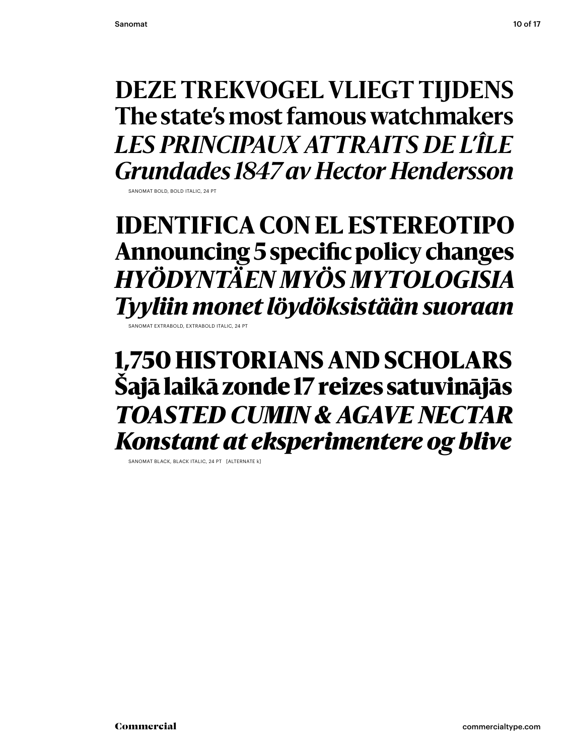#### **DEZE TREKVOGEL VLIEGT TIJDENS** The state's most famous watchmakers **LES PRINCIPAUX ATTRAITS DE L'ÎLE Grundades 1847 av Hector Hendersson**

SANOMAT ROLD ROLD ITALIC 24 R

#### **IDENTIFICA CON EL ESTEREOTIPO** Announcing 5 specific policy changes HYÖDYNTÄEN MYÖS MYTOLOGISIA Tyyliin monet löydöksistään suoraan

SANOMAT EXTRABOLD, EXTRABOLD ITALIC, 24 PT

1,750 HISTORIANS AND SCHOLARS Šajā laikā zonde 17 reizes satuvinājās **TOASTED CUMIN & AGAVE NECTAR Konstant at eksperimentere og blive** 

SANOMAT BLACK, BLACK ITALIC, 24 PT [ALTERNATE k]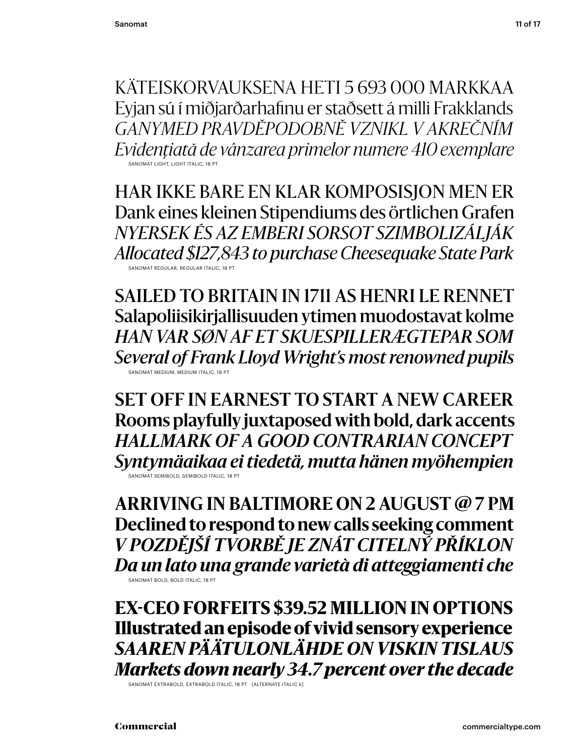KÄTEISKORVAUKSENA HETI 5 693 000 MARKKAA Eyjan sú í miðjarðarhafinu er staðsett á milli Frakklands GANYMED PRAVDĚPODOBNĚ VZNIKL V AKREČNÍM Evidențiată de vânzarea primelor numere 410 exemplare SANOMAT LIGHT, LIGHT ITALIC, 18 PT

HAR IKKE BARE EN KLAR KOMPOSISJON MEN ER Dank eines kleinen Stipendiums des örtlichen Grafen NYERSEK ÉS AZ EMBERI SORSOT SZIMBOLIZÁLJÁK Allocated \$127,843 to purchase Cheesequake State Park SANOMAT REGULAR, REGULAR ITALIC, 18 P

**SAILED TO BRITAIN IN 1711 AS HENRI LE RENNET** Salapoliisikirjallisuuden ytimen muodostavat kolme HAN VAR SØN AF ET SKUESPILLERÆGTEPAR SOM Several of Frank Lloyd Wright's most renowned pupils SANOMAT MEDIUM, MEDIUM ITALIC, 18 PT

**SET OFF IN EARNEST TO START A NEW CAREER** Rooms playfully juxtaposed with bold, dark accents **HALLMARK OF A GOOD CONTRARIAN CONCEPT** Syntymäaikaa ei tiedetä, mutta hänen myöhempien SANOMAT SEMIBOLD, SEMIBOLD ITALIC, 18 PT

**ARRIVING IN BALTIMORE ON 2 AUGUST @ 7 PM** Declined to respond to new calls seeking comment V POZDĚJŠÍ TVORBĚ JE ZNÁT CITELNÝ PŘÍKLON Da un lato una grande varietà di atteggiamenti che SANOMAT BOLD, BOLD ITALIC. 18 PT

**EX-CEO FORFEITS \$39.52 MILLION IN OPTIONS** Illustrated an episode of vivid sensory experience SAAREN PÄÄTULONLÄHDE ON VISKIN TISLAUS Markets down nearly 34.7 percent over the decade

SANOMAT EXTRABOLD, EXTRABOLD ITALIC, 18 PT [ALTERNATE ITALIC k]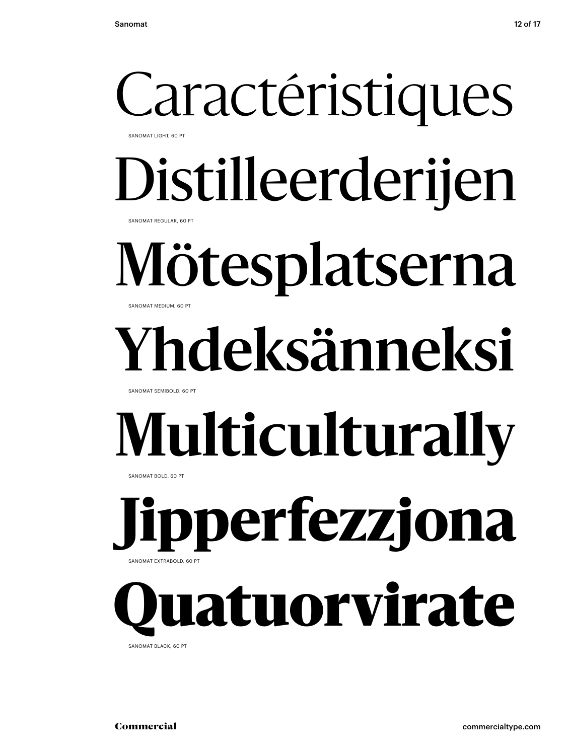### Caractéristiques SANOMAT LIGHT, 60 PT

Distilleerderijen

SANOMAT REGULAR, 60 PT

### Mötesplatserna SANOMAT MEDIUM, 60 PT

# **Yhdeksänneksi**

SANOMAT SEMIBOLD, 60 PT

# **Multiculturally**

SANOMAT BOLD, 60 PT

**Jipperfezzjona** SANOMAT EXTRABOLD, 60 PT

## latuorvirate

SANOMAT BLACK, 60 PT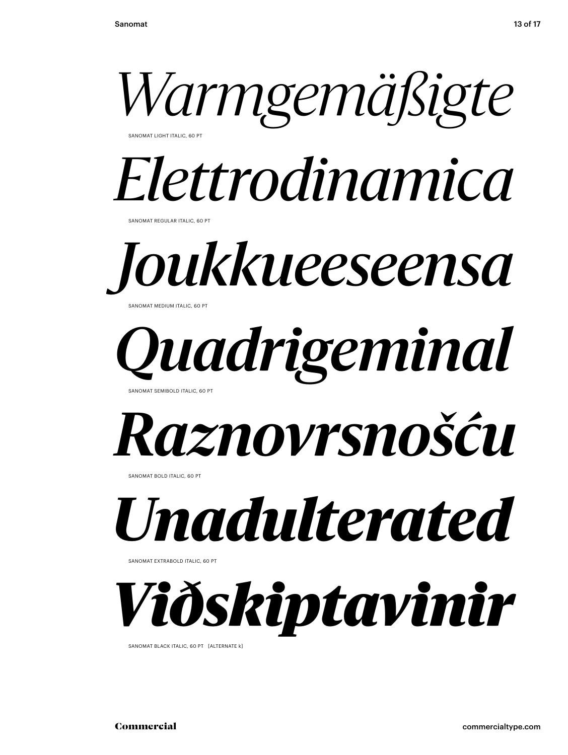

SANOMAT LIGHT ITALIC, 60 PT

## *Elettrodinamica*

SANOMAT REGULAR ITALIC, 60 PT



SANOMAT MEDIUM ITALIC, 60 PT

### *Quadrigeminal* SANOMAT SEMIBOLD ITALIC, 60 PT



SANOMAT BOLD ITALIC, 60 PT



SANOMAT EXTRABOLD ITALIC, 60 PT



SANOMAT BLACK ITALIC, 60 PT [ALTERNATE k]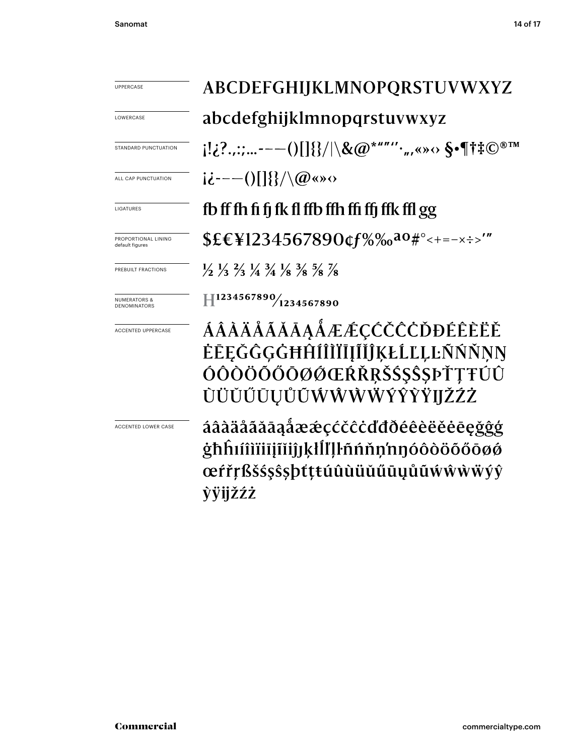LOWERCASE

STANDARD PUNCTUATION

ALL CAP PUNCTUATION

LIGATURES

PROPORTIONAL LINING default figures

PREBUILT FRACTIONS

NUMERATORS & DENOMINATORS

ACCENTED UPPERCASE

ACCENTED LOWER CASE

ABCDEFGHIJKLMNOPQRSTUVWXYZ abcdefghijklmnopqrstuvwxyz  $[12?$ .,:;...---()[]{}/|\&@\*""''.,,«»<> \$•¶†‡©®™  $i\dot{\epsilon}$ ---()[]{}/\@«»

#### fb ff fh fi fj fk fl ffb ffh ffi ffj ffk ffl gg

\$£€¥1234567890¢f%‰<sup>ao#°</sup><+=-x÷>'"

 $\frac{1}{2}$   $\frac{1}{3}$   $\frac{2}{3}$   $\frac{1}{4}$   $\frac{3}{4}$   $\frac{1}{8}$   $\frac{3}{8}$   $\frac{5}{8}$   $\frac{7}{8}$ 

 $\text{H}^{1234567890}/\text{1234567890}$ 

**AAAAAAAAAAAEECCCCCDDEEEEE** ĖĒĘĞĜĢĠĦĤÍÎÌĬĪĮĨĬĴĶŁĹĽĻĿÑŃŇŅŊ ÓÔÒÖŐŐŌØØŒŔŘŖŠŚŞŜSPŤŢŦÚÛ ÙÜŬŬŨŪŲŮŨŴŴŴŴŶŶŸIJŽŹŻ

áâàäåãăāaåææçćčĉċďđðéêèëěėegğĝģ ġħĥıíîìïiījĩiĵĵķłĺľļŀñńňņ'nŋóôòöõőōøø œŕřŗßšśşŝşþťţŧúûùüŭűūųůũẃŵẁẅýŷ **vvijžźż**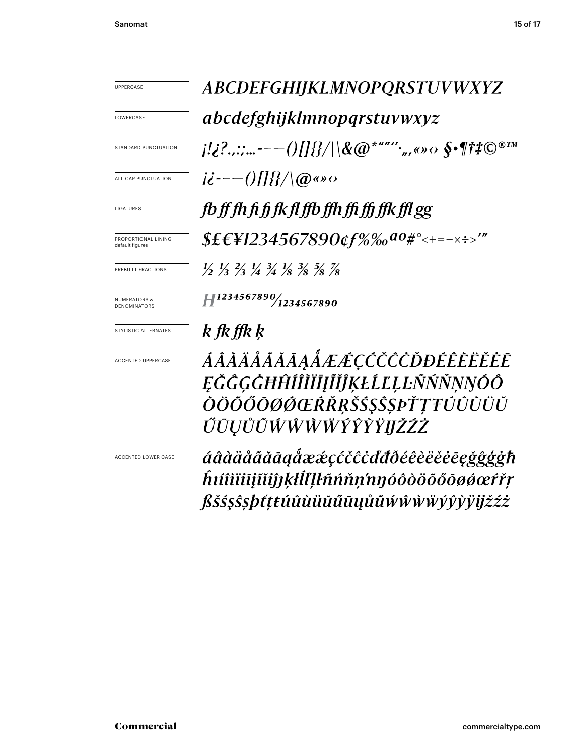**UPPERCASE** 

LOWERCASE

STANDARD PUNCTUATION

ALL CAP PUNCTUATION

LIGATURES

PROPORTIONAL LINING<br>default figures

PREBUILT FRACTIONS

**NUMERATORS & DENOMINATORS** 

STYLISTIC ALTERNATES

ACCENTED UPPERCASE

**ACCENTED LOWER CASE** 

ABCDEFGHIJKLMNOPQRSTUVWXYZ abcdefghijklmnopqrstuvwxyz  $i!i$ ?..:;...---()[]{}/|\&@\*""',,«» $\circ$  §•¶ $\ddagger \ddagger$ C®IM  $i\dot{\epsilon}$ --- $\frac{1}{2}$   $\frac{1}{2}$ fb ff fh fi fi fk fl ffb ffh ffi ffi ffk ffl gg  $$EEY1234567890$  of  $\%$ % ao #° < + = - x ÷ >'"  $\frac{1}{2}$   $\frac{1}{3}$   $\frac{2}{3}$   $\frac{1}{4}$   $\frac{3}{4}$   $\frac{1}{8}$   $\frac{3}{8}$   $\frac{5}{8}$   $\frac{7}{8}$  $H^{1234567890}$ <sup>1234567890</sup>

#### k fk ffk k

ÁÂĂÄĂĂĂĀĄÅÆÆÇĆČĊŎĐÉÊÈËĚĖĒ ĘĞĜĢĠĦĤÍÎĨĬĨĮĨĬĴĶŁĹĽĻĿÑŃŇŅŊÓÔ *OÖŐŐŌØØŒŔŘŖŠŚŞŜSPŤŢŦŰÛÙÜŬ* ŰŪŲŮŨŴŴŴŴŶŶŶŸIJŽŹŻ

áâàäåãããaaåææçćčĉcďđðéêèëěēegggggh hıíîìiiiiiijîiijjķłĺľļŀñńňņ'nŋóôòöõőōøøœŕřŗ ßšśşŝşþtttúûùüŭűūyůũŵŵŵẅýŷỳÿijžźż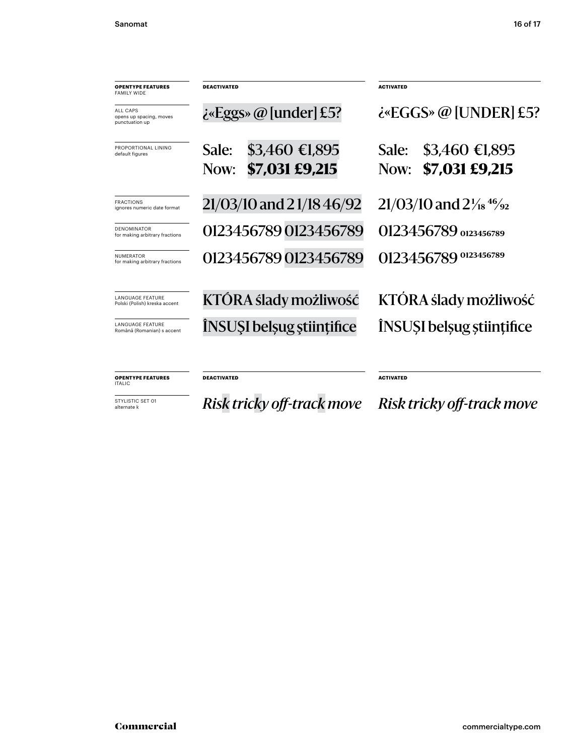| <b>OPENTYPE FEATURES</b><br><b>FAMILY WIDE</b>           | <b>DEACTIVATED</b>               | <b>ACTIVATED</b>                                             |
|----------------------------------------------------------|----------------------------------|--------------------------------------------------------------|
| ALL CAPS<br>opens up spacing, moves<br>punctuation up    | $i_{\alpha}$ Eggs» @ [under] £5? | $i$ «EGGS» @ [UNDER] £5?                                     |
| PROPORTIONAL LINING<br>default figures                   | $$3,460 \in 1,895$<br>Sale:      | \$3,460 €1,895<br>Sale:                                      |
|                                                          | \$7,031 £9,215<br>Now:           | \$7,031 £9,215<br>Now:                                       |
| <b>FRACTIONS</b><br>ignores numeric date format          | 21/03/10 and 21/18 46/92         | $21/03/10$ and $2\frac{1}{18}$ <sup>46</sup> / <sub>92</sub> |
| <b>DENOMINATOR</b><br>for making arbitrary fractions     | 0123456789 0123456789            | 0123456789 0123456789                                        |
| <b>NUMERATOR</b><br>for making arbitrary fractions       | 0123456789 0123456789            | 0123456789 0123456789                                        |
| <b>LANGUAGE FEATURE</b><br>Polski (Polish) kreska accent | KTÓRA ślady możliwość            | KTÓRA ślady możliwość                                        |
| <b>LANGUAGE FEATURE</b><br>Română (Romanian) s accent    | ÎNSUȘI belșug științifice        | INSUSI belsug stiintifice                                    |
|                                                          |                                  |                                                              |
| <b>OPENTYPE FEATURES</b><br><b>ITALIC</b>                | <b>DEACTIVATED</b>               | <b>ACTIVATED</b>                                             |

STYLISTIC SET 01<br>alternate k

alternate k *Risk tricky off-track move Risk tricky off-track move*